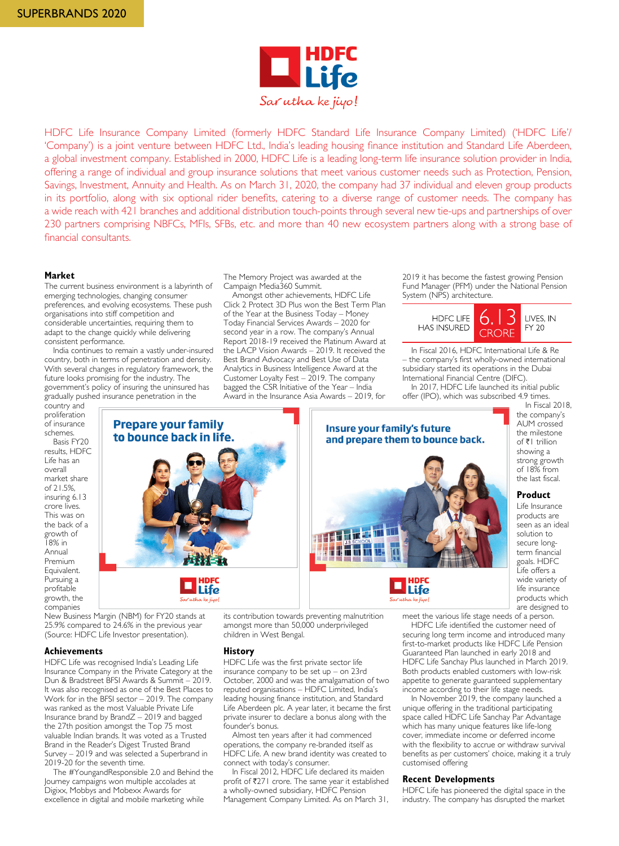

HDFC Life Insurance Company Limited (formerly HDFC Standard Life Insurance Company Limited) ('HDFC Life'/ 'Company') is a joint venture between HDFC Ltd., India's leading housing finance institution and Standard Life Aberdeen, a global investment company. Established in 2000, HDFC Life is a leading long-term life insurance solution provider in India, offering a range of individual and group insurance solutions that meet various customer needs such as Protection, Pension, Savings, Investment, Annuity and Health. As on March 31, 2020, the company had 37 individual and eleven group products in its portfolio, along with six optional rider benefits, catering to a diverse range of customer needs. The company has a wide reach with 421 branches and additional distribution touch-points through several new tie-ups and partnerships of over 230 partners comprising NBFCs, MFIs, SFBs, etc. and more than 40 new ecosystem partners along with a strong base of financial consultants.

### **Market**

The current business environment is a labyrinth of emerging technologies, changing consumer preferences, and evolving ecosystems. These push organisations into stiff competition and considerable uncertainties, requiring them to adapt to the change quickly while delivering consistent performance.

India continues to remain a vastly under-insured country, both in terms of penetration and density. With several changes in regulatory framework, the future looks promising for the industry. The government's policy of insuring the uninsured has gradually pushed insurance penetration in the

country and proliferation of insurance schemes.

Basis FY20 results, HDFC Life has an overall market share of 21.5%, insuring 6.13 crore lives. This was on the back of a growth of 18% in Annual Premium Equivalent. Pursuing a profitable growth, the companies



**Life** 

The Memory Project was awarded at the Campaign Media360 Summit.

Amongst other achievements, HDFC Life Click 2 Protect 3D Plus won the Best Term Plan of the Year at the Business Today – Money Today Financial Services Awards – 2020 for second year in a row. The company's Annual Report 2018-19 received the Platinum Award at the LACP Vision Awards – 2019. It received the Best Brand Advocacy and Best Use of Data Analytics in Business Intelligence Award at the Customer Loyalty Fest – 2019. The company bagged the CSR Initiative of the Year – India Award in the Insurance Asia Awards – 2019, for

2019 it has become the fastest growing Pension Fund Manager (PFM) under the National Pension System (NPS) architecture.



In Fiscal 2016, HDFC International Life & Re – the company's first wholly-owned international subsidiary started its operations in the Dubai International Financial Centre (DIFC).

In 2017, HDFC Life launched its initial public offer (IPO), which was subscribed 4.9 times. In Fiscal 2018,



New Business Margin (NBM) for FY20 stands at 25.9% compared to 24.6% in the previous year (Source: HDFC Life Investor presentation).

#### **Achievements**

HDFC Life was recognised India's Leading Life Insurance Company in the Private Category at the Dun & Bradstreet BFSI Awards & Summit – 2019. It was also recognised as one of the Best Places to Work for in the BFSI sector – 2019. The company was ranked as the most Valuable Private Life Insurance brand by BrandZ – 2019 and bagged the 27th position amongst the Top 75 most valuable Indian brands. It was voted as a Trusted Brand in the Reader's Digest Trusted Brand Survey – 2019 and was selected a Superbrand in 2019-20 for the seventh time.

The #YoungandResponsible 2.0 and Behind the Journey campaigns won multiple accolades at Digixx, Mobbys and Mobexx Awards for excellence in digital and mobile marketing while

its contribution towards preventing malnutrition amongst more than 50,000 underprivileged children in West Bengal.

## **History**

HDFC Life was the first private sector life insurance company to be set up – on 23rd October, 2000 and was the amalgamation of two reputed organisations – HDFC Limited, India's leading housing finance institution, and Standard Life Aberdeen plc. A year later, it became the first private insurer to declare a bonus along with the founder's bonus.

Almost ten years after it had commenced operations, the company re-branded itself as HDFC Life. A new brand identity was created to connect with today's consumer.

In Fiscal 2012, HDFC Life declared its maiden profit of  $\overline{z}271$  crore. The same year it established a wholly-owned subsidiary, HDFC Pension Management Company Limited. As on March 31,

AUM crossed the milestone of ₹1 trillion showing a strong growth of 18% from the last fiscal.

the company's

**Product** Life Insurance

products are seen as an ideal solution to secure longterm financial goals. HDFC Life offers a wide variety of life insurance products which are designed to

meet the various life stage needs of a person.

HDFC Life identified the customer need of securing long term income and introduced many first-to-market products like HDFC Life Pension Guaranteed Plan launched in early 2018 and HDFC Life Sanchay Plus launched in March 2019. Both products enabled customers with low-risk appetite to generate guaranteed supplementary income according to their life stage needs.

In November 2019, the company launched a unique offering in the traditional participating space called HDFC Life Sanchay Par Advantage which has many unique features like life-long cover, immediate income or deferred income with the flexibility to accrue or withdraw survival benefits as per customers' choice, making it a truly customised offering

## **Recent Developments**

HDFC Life has pioneered the digital space in the industry. The company has disrupted the market